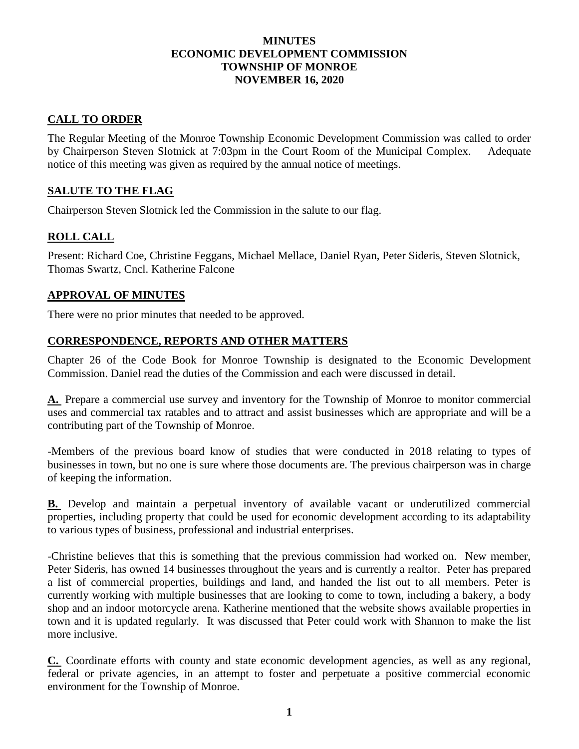#### **MINUTES ECONOMIC DEVELOPMENT COMMISSION TOWNSHIP OF MONROE NOVEMBER 16, 2020**

# **CALL TO ORDER**

The Regular Meeting of the Monroe Township Economic Development Commission was called to order by Chairperson Steven Slotnick at 7:03pm in the Court Room of the Municipal Complex. Adequate notice of this meeting was given as required by the annual notice of meetings.

## **SALUTE TO THE FLAG**

Chairperson Steven Slotnick led the Commission in the salute to our flag.

## **ROLL CALL**

Present: Richard Coe, Christine Feggans, Michael Mellace, Daniel Ryan, Peter Sideris, Steven Slotnick, Thomas Swartz, Cncl. Katherine Falcone

### **APPROVAL OF MINUTES**

There were no prior minutes that needed to be approved.

### **CORRESPONDENCE, REPORTS AND OTHER MATTERS**

Chapter 26 of the Code Book for Monroe Township is designated to the Economic Development Commission. Daniel read the duties of the Commission and each were discussed in detail.

**[A.](https://www.ecode360.com/7176058#7176058)** Prepare a commercial use survey and inventory for the Township of Monroe to monitor commercial uses and commercial tax ratables and to attract and assist businesses which are appropriate and will be a contributing part of the Township of Monroe.

-Members of the previous board know of studies that were conducted in 2018 relating to types of businesses in town, but no one is sure where those documents are. The previous chairperson was in charge of keeping the information.

**[B.](https://www.ecode360.com/7176059#7176059)** Develop and maintain a perpetual inventory of available vacant or underutilized commercial properties, including property that could be used for economic development according to its adaptability to various types of business, professional and industrial enterprises.

-Christine believes that this is something that the previous commission had worked on. New member, Peter Sideris, has owned 14 businesses throughout the years and is currently a realtor. Peter has prepared a list of commercial properties, buildings and land, and handed the list out to all members. Peter is currently working with multiple businesses that are looking to come to town, including a bakery, a body shop and an indoor motorcycle arena. Katherine mentioned that the website shows available properties in town and it is updated regularly. It was discussed that Peter could work with Shannon to make the list more inclusive.

**[C.](https://www.ecode360.com/7176060#7176060)** Coordinate efforts with county and state economic development agencies, as well as any regional, federal or private agencies, in an attempt to foster and perpetuate a positive commercial economic environment for the Township of Monroe.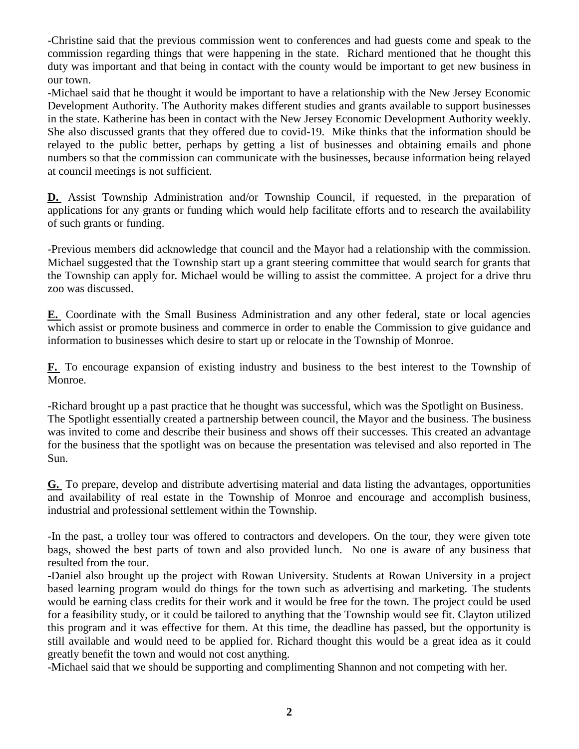-Christine said that the previous commission went to conferences and had guests come and speak to the commission regarding things that were happening in the state. Richard mentioned that he thought this duty was important and that being in contact with the county would be important to get new business in our town.

-Michael said that he thought it would be important to have a relationship with the New Jersey Economic Development Authority. The Authority makes different studies and grants available to support businesses in the state. Katherine has been in contact with the New Jersey Economic Development Authority weekly. She also discussed grants that they offered due to covid-19. Mike thinks that the information should be relayed to the public better, perhaps by getting a list of businesses and obtaining emails and phone numbers so that the commission can communicate with the businesses, because information being relayed at council meetings is not sufficient.

**[D.](https://www.ecode360.com/7176061#7176061)** Assist Township Administration and/or Township Council, if requested, in the preparation of applications for any grants or funding which would help facilitate efforts and to research the availability of such grants or funding.

-Previous members did acknowledge that council and the Mayor had a relationship with the commission. Michael suggested that the Township start up a grant steering committee that would search for grants that the Township can apply for. Michael would be willing to assist the committee. A project for a drive thru zoo was discussed.

**[E.](https://www.ecode360.com/7176062#7176062)** Coordinate with the Small Business Administration and any other federal, state or local agencies which assist or promote business and commerce in order to enable the Commission to give guidance and information to businesses which desire to start up or relocate in the Township of Monroe.

**[F.](https://www.ecode360.com/7176063#7176063)** To encourage expansion of existing industry and business to the best interest to the Township of Monroe.

-Richard brought up a past practice that he thought was successful, which was the Spotlight on Business. The Spotlight essentially created a partnership between council, the Mayor and the business. The business was invited to come and describe their business and shows off their successes. This created an advantage for the business that the spotlight was on because the presentation was televised and also reported in The Sun.

**[G.](https://www.ecode360.com/7176064#7176064)** To prepare, develop and distribute advertising material and data listing the advantages, opportunities and availability of real estate in the Township of Monroe and encourage and accomplish business, industrial and professional settlement within the Township.

-In the past, a trolley tour was offered to contractors and developers. On the tour, they were given tote bags, showed the best parts of town and also provided lunch. No one is aware of any business that resulted from the tour.

-Daniel also brought up the project with Rowan University. Students at Rowan University in a project based learning program would do things for the town such as advertising and marketing. The students would be earning class credits for their work and it would be free for the town. The project could be used for a feasibility study, or it could be tailored to anything that the Township would see fit. Clayton utilized this program and it was effective for them. At this time, the deadline has passed, but the opportunity is still available and would need to be applied for. Richard thought this would be a great idea as it could greatly benefit the town and would not cost anything.

-Michael said that we should be supporting and complimenting Shannon and not competing with her.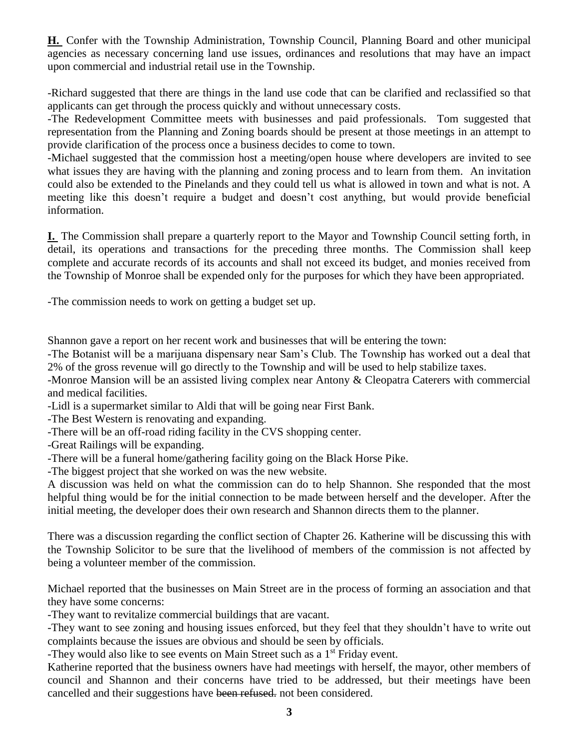**[H.](https://www.ecode360.com/7176065#7176065)** Confer with the Township Administration, Township Council, Planning Board and other municipal agencies as necessary concerning land use issues, ordinances and resolutions that may have an impact upon commercial and industrial retail use in the Township.

-Richard suggested that there are things in the land use code that can be clarified and reclassified so that applicants can get through the process quickly and without unnecessary costs.

-The Redevelopment Committee meets with businesses and paid professionals. Tom suggested that representation from the Planning and Zoning boards should be present at those meetings in an attempt to provide clarification of the process once a business decides to come to town.

-Michael suggested that the commission host a meeting/open house where developers are invited to see what issues they are having with the planning and zoning process and to learn from them. An invitation could also be extended to the Pinelands and they could tell us what is allowed in town and what is not. A meeting like this doesn't require a budget and doesn't cost anything, but would provide beneficial information.

**[I.](https://www.ecode360.com/7176066#7176066)** The Commission shall prepare a quarterly report to the Mayor and Township Council setting forth, in detail, its operations and transactions for the preceding three months. The Commission shall keep complete and accurate records of its accounts and shall not exceed its budget, and monies received from the Township of Monroe shall be expended only for the purposes for which they have been appropriated.

-The commission needs to work on getting a budget set up.

Shannon gave a report on her recent work and businesses that will be entering the town:

-The Botanist will be a marijuana dispensary near Sam's Club. The Township has worked out a deal that 2% of the gross revenue will go directly to the Township and will be used to help stabilize taxes.

-Monroe Mansion will be an assisted living complex near Antony & Cleopatra Caterers with commercial and medical facilities.

-Lidl is a supermarket similar to Aldi that will be going near First Bank.

-The Best Western is renovating and expanding.

-There will be an off-road riding facility in the CVS shopping center.

-Great Railings will be expanding.

-There will be a funeral home/gathering facility going on the Black Horse Pike.

-The biggest project that she worked on was the new website.

A discussion was held on what the commission can do to help Shannon. She responded that the most helpful thing would be for the initial connection to be made between herself and the developer. After the initial meeting, the developer does their own research and Shannon directs them to the planner.

There was a discussion regarding the conflict section of Chapter 26. Katherine will be discussing this with the Township Solicitor to be sure that the livelihood of members of the commission is not affected by being a volunteer member of the commission.

Michael reported that the businesses on Main Street are in the process of forming an association and that they have some concerns:

-They want to revitalize commercial buildings that are vacant.

-They want to see zoning and housing issues enforced, but they feel that they shouldn't have to write out complaints because the issues are obvious and should be seen by officials.

-They would also like to see events on Main Street such as a 1<sup>st</sup> Friday event.

Katherine reported that the business owners have had meetings with herself, the mayor, other members of council and Shannon and their concerns have tried to be addressed, but their meetings have been cancelled and their suggestions have been refused. not been considered.